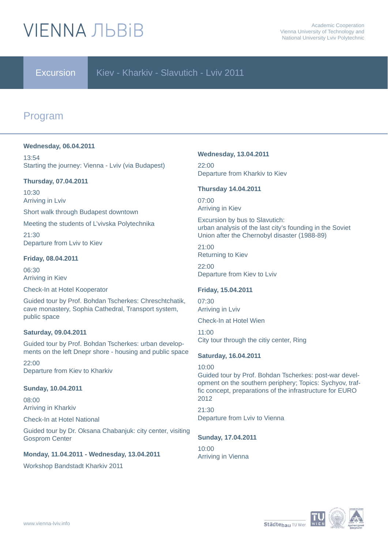# **VIFNNA JIBRIB**

### Excursion Kiev - Kharkiy - Slavutich - Lviv 2011

## Program

#### **Wednesday, 06.04.2011**

13:54 Starting the journey: Vienna - Lviv (via Budapest)

#### **Thursday, 07.04.2011**

10:30 Arriving in Lviv

Short walk through Budapest downtown

Meeting the students of L'vivska Polytechnika

21:30 Departure from Lviv to Kiev

#### **Friday, 08.04.2011**

06:30 Arriving in Kiev

Check-In at Hotel Kooperator

Guided tour by Prof. Bohdan Tscherkes: Chreschtchatik, cave monastery, Sophia Cathedral, Transport system, public space

#### **Saturday, 09.04.2011**

Guided tour by Prof. Bohdan Tscherkes: urban developments on the left Dnepr shore - housing and public space

22:00 Departure from Kiev to Kharkiv

#### **Sunday, 10.04.2011**

08:00 Arriving in Kharkiv

Check-In at Hotel National

Guided tour by Dr. Oksana Chabanjuk: city center, visiting Gosprom Center

#### **Monday, 11.04.2011 - Wednesday, 13.04.2011**

Workshop Bandstadt Kharkiv 2011

#### **Wednesday, 13.04.2011**

22:00 Departure from Kharkiv to Kiev

#### **Thursday 14.04.2011**

07:00 Arriving in Kiev

Excursion by bus to Slavutich: urban analysis of the last city's founding in the Soviet Union after the Chernobyl disaster (1988-89)

21:00 Returning to Kiev

22:00 Departure from Kiev to Lviv

#### **Friday, 15.04.2011**

07:30 Arriving in Lviv

Check-In at Hotel Wien

11:00 City tour through the citiy center, Ring

#### **Saturday, 16.04.2011**

10:00

Guided tour by Prof. Bohdan Tscherkes: post-war development on the southern periphery; Topics: Sychyov, traffic concept, preparations of the infrastructure for EURO 2012

21:30 Departure from Lviv to Vienna

#### **Sunday, 17.04.2011**

10:00 Arriving in Vienna